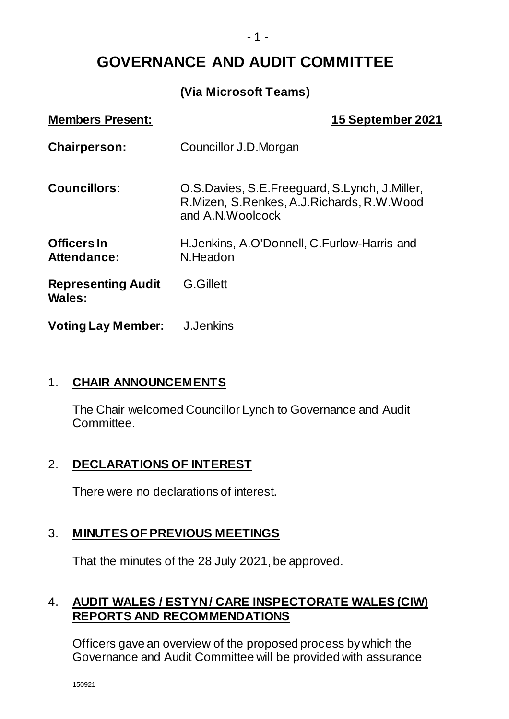**GOVERNANCE AND AUDIT COMMITTEE**

#### **(Via Microsoft Teams)**

| <b>Members Present:</b>             | 15 September 2021                                                                                                  |
|-------------------------------------|--------------------------------------------------------------------------------------------------------------------|
| <b>Chairperson:</b>                 | Councillor J.D.Morgan                                                                                              |
| <b>Councillors:</b>                 | O.S. Davies, S.E. Freeguard, S. Lynch, J. Miller,<br>R.Mizen, S.Renkes, A.J.Richards, R.W.Wood<br>and A.N.Woolcock |
| <b>Officers In</b><br>Attendance:   | H.Jenkins, A.O'Donnell, C.Furlow-Harris and<br>N.Headon                                                            |
| <b>Representing Audit</b><br>Wales: | <b>G.Gillett</b>                                                                                                   |
| <b>Voting Lay Member:</b>           | J.Jenkins                                                                                                          |

#### 1. **CHAIR ANNOUNCEMENTS**

The Chair welcomed Councillor Lynch to Governance and Audit Committee.

### 2. **DECLARATIONS OF INTEREST**

There were no declarations of interest.

### 3. **MINUTES OF PREVIOUS MEETINGS**

That the minutes of the 28 July 2021, be approved.

### 4. **AUDIT WALES / ESTYN/ CARE INSPECTORATE WALES (CIW) REPORTS AND RECOMMENDATIONS**

Officers gave an overview of the proposed process by which the Governance and Audit Committee will be provided with assurance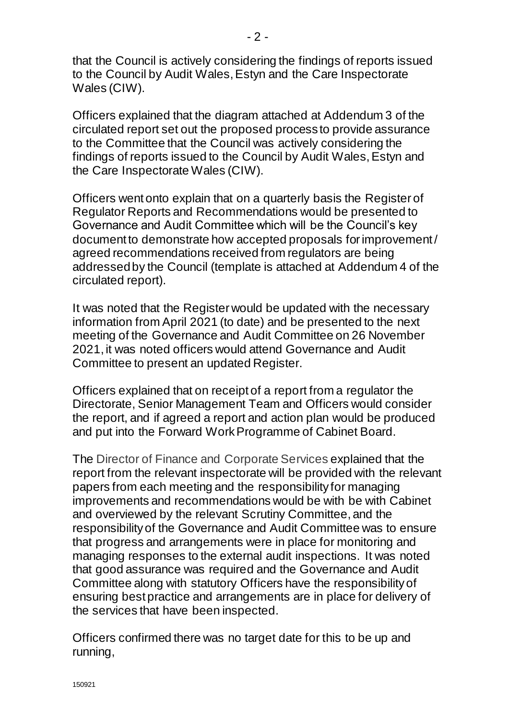that the Council is actively considering the findings of reports issued to the Council by Audit Wales, Estyn and the Care Inspectorate Wales (CIW).

Officers explained that the diagram attached at Addendum 3 of the circulated report set out the proposed process to provide assurance to the Committee that the Council was actively considering the findings of reports issued to the Council by Audit Wales, Estyn and the Care Inspectorate Wales (CIW).

Officers went onto explain that on a quarterly basis the Register of Regulator Reports and Recommendations would be presented to Governance and Audit Committee which will be the Council's key document to demonstrate how accepted proposals for improvement / agreed recommendations received from regulators are being addressed by the Council (template is attached at Addendum 4 of the circulated report).

It was noted that the Register would be updated with the necessary information from April 2021 (to date) and be presented to the next meeting of the Governance and Audit Committee on 26 November 2021, it was noted officers would attend Governance and Audit Committee to present an updated Register.

Officers explained that on receipt of a report from a regulator the Directorate, Senior Management Team and Officers would consider the report, and if agreed a report and action plan would be produced and put into the Forward Work Programme of Cabinet Board.

The Director of Finance and Corporate Services explained that the report from the relevant inspectorate will be provided with the relevant papers from each meeting and the responsibility for managing improvements and recommendations would be with be with Cabinet and overviewed by the relevant Scrutiny Committee, and the responsibility of the Governance and Audit Committee was to ensure that progress and arrangements were in place for monitoring and managing responses to the external audit inspections. It was noted that good assurance was required and the Governance and Audit Committee along with statutory Officers have the responsibility of ensuring best practice and arrangements are in place for delivery of the services that have been inspected.

Officers confirmed there was no target date for this to be up and running,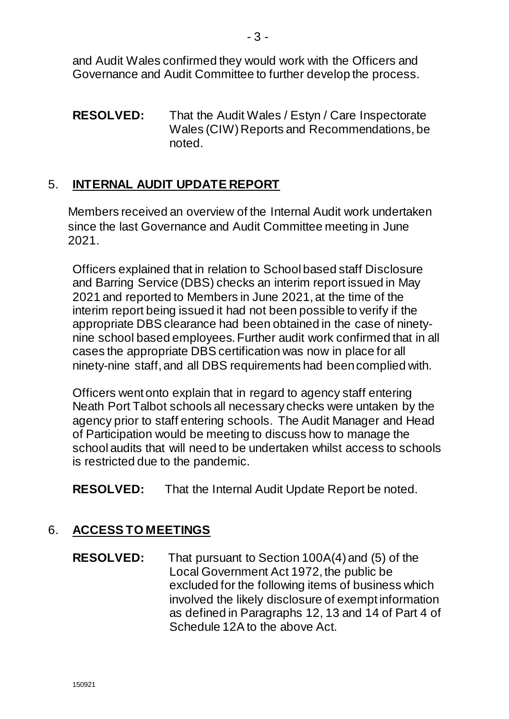and Audit Wales confirmed they would work with the Officers and Governance and Audit Committee to further develop the process.

**RESOLVED:** That the Audit Wales / Estyn / Care Inspectorate Wales (CIW) Reports and Recommendations, be noted.

# 5. **INTERNAL AUDIT UPDATE REPORT**

Members received an overview of the Internal Audit work undertaken since the last Governance and Audit Committee meeting in June 2021.

Officers explained that in relation to School based staff Disclosure and Barring Service (DBS) checks an interim report issued in May 2021 and reported to Members in June 2021, at the time of the interim report being issued it had not been possible to verify if the appropriate DBS clearance had been obtained in the case of ninetynine school based employees. Further audit work confirmed that in all cases the appropriate DBS certification was now in place for all ninety-nine staff, and all DBS requirements had been complied with.

Officers went onto explain that in regard to agency staff entering Neath Port Talbot schools all necessary checks were untaken by the agency prior to staff entering schools. The Audit Manager and Head of Participation would be meeting to discuss how to manage the school audits that will need to be undertaken whilst access to schools is restricted due to the pandemic.

**RESOLVED:** That the Internal Audit Update Report be noted.

## 6. **ACCESS TO MEETINGS**

**RESOLVED:** That pursuant to Section 100A(4) and (5) of the Local Government Act 1972, the public be excluded for the following items of business which involved the likely disclosure of exempt information as defined in Paragraphs 12, 13 and 14 of Part 4 of Schedule 12A to the above Act.